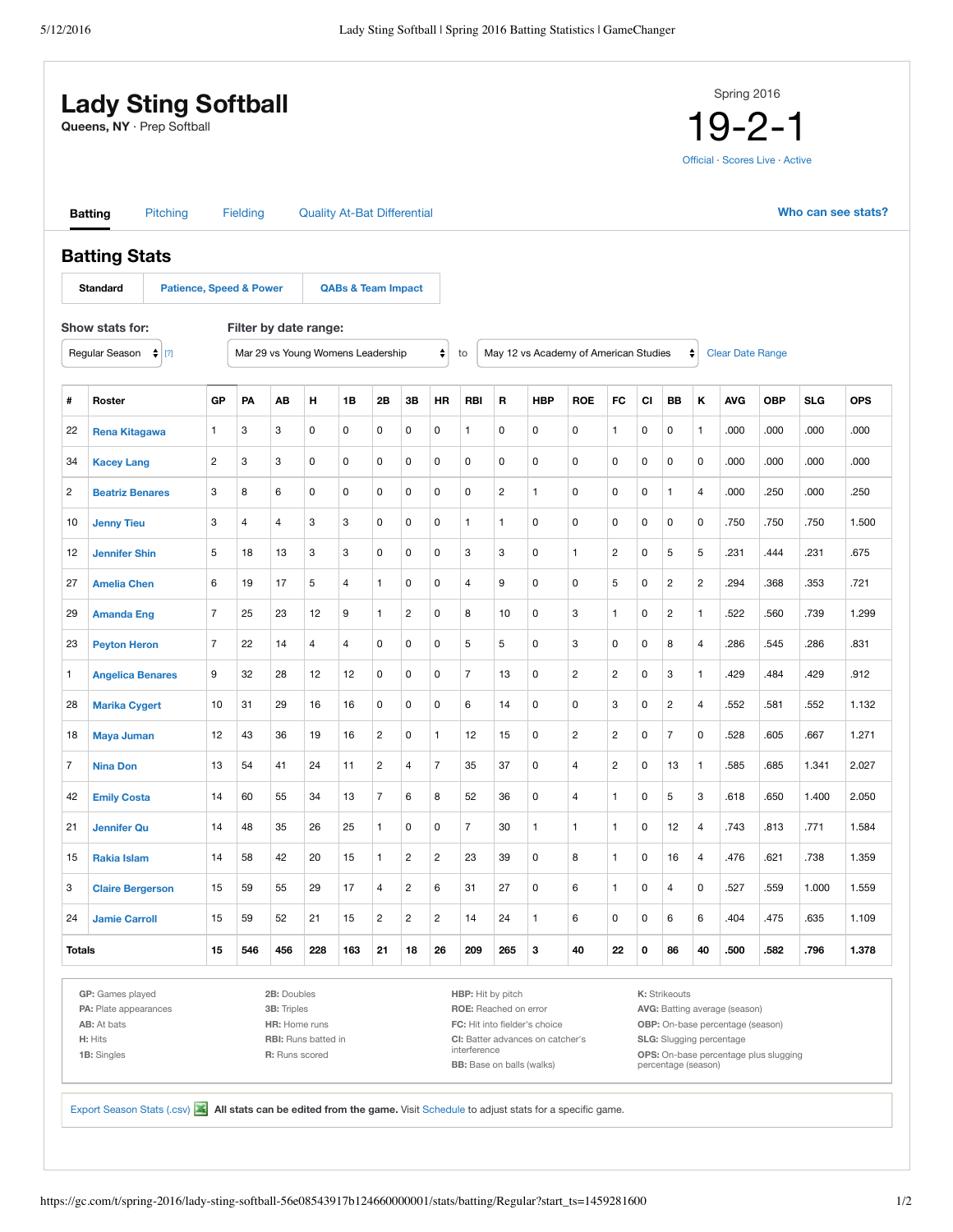|                | <b>Lady Sting Softball</b><br>Queens, NY · Prep Softball |                                    |                |          |             |                                    |                               |                         |                         |                         |                   |     |                                       |                |                         |             |                |                | Spring 2016             | $19 - 2 - 1$<br>Official · Scores Live · Active |                    |            |
|----------------|----------------------------------------------------------|------------------------------------|----------------|----------|-------------|------------------------------------|-------------------------------|-------------------------|-------------------------|-------------------------|-------------------|-----|---------------------------------------|----------------|-------------------------|-------------|----------------|----------------|-------------------------|-------------------------------------------------|--------------------|------------|
|                | <b>Batting</b>                                           | Pitching                           |                | Fielding |             | <b>Quality At-Bat Differential</b> |                               |                         |                         |                         |                   |     |                                       |                |                         |             |                |                |                         |                                                 | Who can see stats? |            |
|                | <b>Batting Stats</b>                                     |                                    |                |          |             |                                    |                               |                         |                         |                         |                   |     |                                       |                |                         |             |                |                |                         |                                                 |                    |            |
|                | <b>Standard</b>                                          | <b>Patience, Speed &amp; Power</b> |                |          |             |                                    | <b>QABs &amp; Team Impact</b> |                         |                         |                         |                   |     |                                       |                |                         |             |                |                |                         |                                                 |                    |            |
|                | Show stats for:                                          |                                    |                |          |             | Filter by date range:              |                               |                         |                         |                         |                   |     |                                       |                |                         |             |                |                |                         |                                                 |                    |            |
|                | Regular Season                                           | $\frac{4}{7}$ [?]                  |                |          |             | Mar 29 vs Young Womens Leadership  |                               |                         |                         | ÷                       | to                |     | May 12 vs Academy of American Studies |                |                         |             |                | ÷              | <b>Clear Date Range</b> |                                                 |                    |            |
| #              | Roster                                                   |                                    | GP             | PA       | AВ          | н                                  | 1B                            | 2B                      | 3B                      | HR                      | RBI               | R   | <b>HBP</b>                            | <b>ROE</b>     | FC                      | CI          | BB             | Κ              | <b>AVG</b>              | <b>OBP</b>                                      | <b>SLG</b>         | <b>OPS</b> |
| 22             | <b>Rena Kitagawa</b>                                     |                                    | $\mathbf{1}$   | 3        | 3           | 0                                  | 0                             | 0                       | 0                       | 0                       | 1                 | 0   | 0                                     | 0              | 1                       | 0           | 0              | $\mathbf{1}$   | .000                    | .000                                            | .000               | .000       |
| 34             | <b>Kacey Lang</b>                                        |                                    | $\overline{c}$ | 3        | 3           | 0                                  | 0                             | 0                       | 0                       | 0                       | 0                 | 0   | 0                                     | $\mathsf 0$    | 0                       | 0           | 0              | 0              | .000                    | .000                                            | .000               | .000       |
| 2              | <b>Beatriz Benares</b>                                   |                                    | 3              | 8        | 6           | 0                                  | 0                             | 0                       | 0                       | 0                       | 0                 | 2   | 1                                     | 0              | 0                       | 0           | $\mathbf{1}$   | 4              | .000                    | .250                                            | .000               | .250       |
| 10             | <b>Jenny Tieu</b>                                        |                                    | 3              | 4        | 4           | 3                                  | 3                             | 0                       | 0                       | 0                       | $\mathbf{1}$      | 1   | 0                                     | 0              | 0                       | 0           | 0              | 0              | .750                    | .750                                            | .750               | 1.500      |
| 12             | <b>Jennifer Shin</b>                                     |                                    | 5              | 18       | 13          | 3                                  | 3                             | 0                       | 0                       | 0                       | 3                 | 3   | 0                                     | 1              | 2                       | 0           | 5              | 5              | .231                    | .444                                            | .231               | .675       |
| 27             | <b>Amelia Chen</b>                                       |                                    | 6              | 19       | 17          | 5                                  | 4                             | 1                       | 0                       | 0                       | 4                 | 9   | 0                                     | 0              | 5                       | 0           | $\overline{c}$ | $\overline{c}$ | .294                    | .368                                            | .353               | .721       |
| 29             | <b>Amanda Eng</b>                                        |                                    | $\overline{7}$ | 25       | 23          | 12                                 | 9                             | $\mathbf{1}$            | $\overline{c}$          | 0                       | 8                 | 10  | 0                                     | 3              | 1                       | 0           | $\overline{c}$ | $\mathbf{1}$   | .522                    | .560                                            | .739               | 1.299      |
| 23             | <b>Peyton Heron</b>                                      |                                    | $\overline{7}$ | 22       | 14          | 4                                  | 4                             | 0                       | 0                       | 0                       | 5                 | 5   | 0                                     | 3              | 0                       | 0           | 8              | 4              | .286                    | .545                                            | .286               | .831       |
| 1              | <b>Angelica Benares</b>                                  |                                    | 9              | 32       | 28          | 12                                 | 12                            | 0                       | 0                       | 0                       | $\overline{7}$    | 13  | 0                                     | 2              | $\overline{\mathbf{c}}$ | 0           | 3              | $\mathbf{1}$   | .429                    | .484                                            | .429               | .912       |
| 28             | <b>Marika Cygert</b>                                     |                                    | 10             | 31       | 29          | 16                                 | 16                            | 0                       | 0                       | 0                       | 6                 | 14  | 0                                     | 0              | 3                       | 0           | $\overline{c}$ | 4              | .552                    | .581                                            | .552               | 1.132      |
| 18             | <b>Maya Juman</b>                                        |                                    | 12             | 43       | 36          | 19                                 | 16                            | $\overline{c}$          | 0                       | $\mathbf{1}$            | 12                | 15  | 0                                     | $\overline{c}$ | $\overline{c}$          | 0           | $\overline{7}$ | 0              | .528                    | .605                                            | .667               | 1.271      |
| $\overline{7}$ | <b>Nina Don</b>                                          |                                    | 13             | 54       | 41          | 24                                 | 11                            | $\overline{c}$          | 4                       | $\overline{7}$          | 35                | 37  | 0                                     | 4              | $\overline{c}$          | 0           | 13             | $\mathbf{1}$   | .585                    | .685                                            | 1.341              | 2.027      |
| 42             | <b>Emily Costa</b>                                       |                                    | 14             | 60       | 55          | 34                                 | 13                            | $\overline{7}$          | 6                       | 8                       | 52                | 36  | 0                                     | 4              | 1                       | 0           | 5              | 3              | .618                    | .650                                            | 1.400              | 2.050      |
| 21             | <b>Jennifer Qu</b>                                       |                                    | 14             | 48       | 35          | 26                                 | 25                            | $\mathbf{1}$            | 0                       | 0                       | $\overline{7}$    | 30  | $\mathbf{1}$                          | $\mathbf{1}$   | 1                       | 0           | 12             | 4              | .743                    | .813                                            | .771               | 1.584      |
| 15             | <b>Rakia Islam</b>                                       |                                    | 14             | 58       | 42          | 20                                 | 15                            | $\mathbf{1}$            | $\overline{\mathbf{c}}$ | $\overline{c}$          | 23                | 39  | $\mathsf 0$                           | 8              | $\mathbf{1}$            | 0           | 16             | 4              | .476                    | .621                                            | .738               | 1.359      |
| 3              | <b>Claire Bergerson</b>                                  |                                    | 15             | 59       | 55          | 29                                 | 17                            | 4                       | $\overline{\mathbf{c}}$ | 6                       | 31                | 27  | 0                                     | 6              | $\mathbf{1}$            | $\mathbf 0$ | $\overline{4}$ | 0              | .527                    | .559                                            | 1.000              | 1.559      |
| 24             | <b>Jamie Carroll</b>                                     |                                    | 15             | 59       | 52          | 21                                 | 15                            | $\overline{\mathbf{c}}$ | $\overline{\mathbf{c}}$ | $\overline{\mathbf{c}}$ | 14                | 24  | 1                                     | 6              | 0                       | 0           | 6              | 6              | .404                    | .475                                            | .635               | 1.109      |
| <b>Totals</b>  |                                                          |                                    | 15             | 546      | 456         | 228                                | 163                           | 21                      | 18                      | 26                      | 209               | 265 | 3                                     | 40             | 22                      | 0           | 86             | 40             | .500                    | .582                                            | .796               | 1.378      |
|                | GP: Games played                                         |                                    |                |          | 2B: Doubles |                                    |                               |                         |                         |                         | HBP: Hit by pitch |     |                                       |                |                         |             | K: Strikeouts  |                |                         |                                                 |                    |            |

**PA:** Plate appearances **AB:** At bats **H:** Hits **1B:** Singles

**3B:** Triples **HR:** Home runs **RBI:** Runs batted in **R:** Runs scored

**ROE:** Reached on error **FC:** Hit into fielder's choice **CI:** Batter advances on catcher's interference **BB:** Base on balls (walks)

**AVG:** Batting average (season) **OBP:** On-base percentage (season) **SLG:** Slugging percentage **OPS:** On-base percentage plus slugging percentage (season)

Export Season Stats (.csv) **All stats can be edited from the game.** Visit Schedule to adjust stats for a specific game.